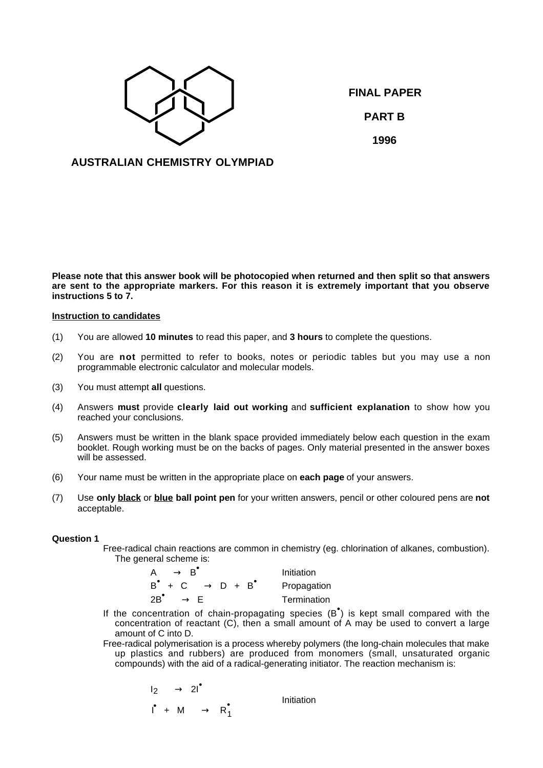

**FINAL PAPER PART B 1996**

**AUSTRALIAN CHEMISTRY OLYMPIAD**

**Please note that this answer book will be photocopied when returned and then split so that answers are sent to the appropriate markers. For this reason it is extremely important that you observe instructions 5 to 7.**

# **Instruction to candidates**

- (1) You are allowed **10 minutes** to read this paper, and **3 hours** to complete the questions.
- (2) You are **not** permitted to refer to books, notes or periodic tables but you may use a non programmable electronic calculator and molecular models.
- (3) You must attempt **all** questions.
- (4) Answers **must** provide **clearly laid out working** and **sufficient explanation** to show how you reached your conclusions.
- (5) Answers must be written in the blank space provided immediately below each question in the exam booklet. Rough working must be on the backs of pages. Only material presented in the answer boxes will be assessed.
- (6) Your name must be written in the appropriate place on **each page** of your answers.
- (7) Use **only black** or **blue ball point pen** for your written answers, pencil or other coloured pens are **not** acceptable.

## **Question 1**

Free-radical chain reactions are common in chemistry (eg. chlorination of alkanes, combustion). The general scheme is:

| $\overline{\phantom{a}}$                          | Initiation  |
|---------------------------------------------------|-------------|
| $B^{\bullet} + C \longrightarrow D + B^{\bullet}$ | Propagation |
| $2B^{\bullet} \longrightarrow$                    | Termination |

If the concentration of chain-propagating species  $(B^{\bullet})$  is kept small compared with the concentration of reactant (C), then a small amount of A may be used to convert a large amount of C into D.

Free-radical polymerisation is a process whereby polymers (the long-chain molecules that make up plastics and rubbers) are produced from monomers (small, unsaturated organic compounds) with the aid of a radical-generating initiator. The reaction mechanism is:

$$
\begin{array}{ccc}\n\mathsf{I}_2 & \longrightarrow & 2\mathsf{I}^{\bullet} \\
\mathsf{I}^{\bullet} & \mathsf{+} & \mathsf{M} & \longrightarrow & \mathsf{R}_1^{\bullet}\n\end{array}\n\bigg\} \qquad \text{Initialization}
$$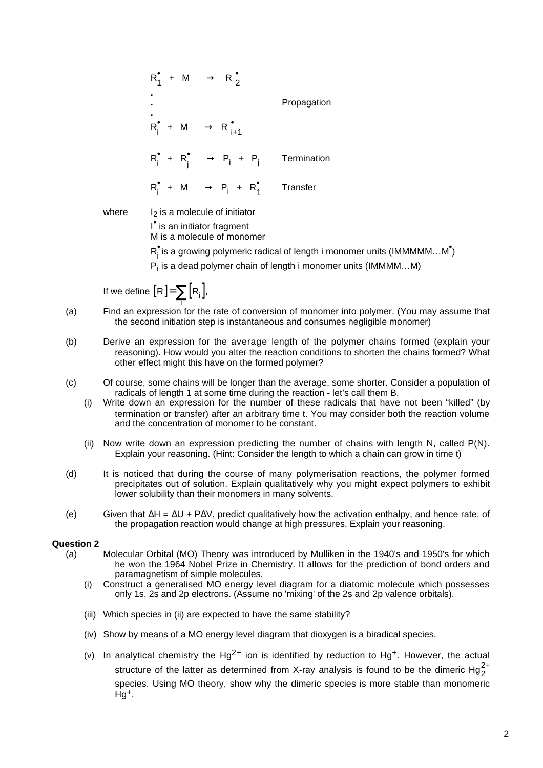| $R_1^{\bullet} + M \longrightarrow R_2^{\bullet}$<br>$R_i^{\bullet}$ + M $\longrightarrow$ $R_{i+1}^{\bullet}$ $\bigcup$ | Propagation |
|--------------------------------------------------------------------------------------------------------------------------|-------------|
| $R_i^{\bullet} + R_i^{\bullet} \longrightarrow P_i + P_i$ Termination                                                    |             |
| $R_i^{\bullet}$ + M $\longrightarrow$ $P_i$ + $R_i^{\bullet}$ Transfer                                                   |             |

where  $I_2$  is a molecule of initiator

I • is an initiator fragment

M is a molecule of monomer

 $R_i^{\bullet}$ is a growing polymeric radical of length i monomer units (IMMMMM...M $^{\bullet}$ )

Pi is a dead polymer chain of length i monomer units (IMMMM…M)

If we define  $[R] = \sum_{i} [R_i]$ ,

- (a) Find an expression for the rate of conversion of monomer into polymer. (You may assume that the second initiation step is instantaneous and consumes negligible monomer)
- (b) Derive an expression for the average length of the polymer chains formed (explain your reasoning). How would you alter the reaction conditions to shorten the chains formed? What other effect might this have on the formed polymer?
- (c) Of course, some chains will be longer than the average, some shorter. Consider a population of radicals of length 1 at some time during the reaction - let's call them B.
	- (i) Write down an expression for the number of these radicals that have not been "killed" (by termination or transfer) after an arbitrary time t. You may consider both the reaction volume and the concentration of monomer to be constant.
	- (ii) Now write down an expression predicting the number of chains with length N, called P(N). Explain your reasoning. (Hint: Consider the length to which a chain can grow in time t)
- (d) It is noticed that during the course of many polymerisation reactions, the polymer formed precipitates out of solution. Explain qualitatively why you might expect polymers to exhibit lower solubility than their monomers in many solvents.
- (e) Given that ∆H = ∆U + P∆V, predict qualitatively how the activation enthalpy, and hence rate, of the propagation reaction would change at high pressures. Explain your reasoning.

## **Question 2**

- (a) Molecular Orbital (MO) Theory was introduced by Mulliken in the 1940's and 1950's for which he won the 1964 Nobel Prize in Chemistry. It allows for the prediction of bond orders and paramagnetism of simple molecules.
	- (i) Construct a generalised MO energy level diagram for a diatomic molecule which possesses only 1s, 2s and 2p electrons. (Assume no 'mixing' of the 2s and 2p valence orbitals).
	- (iii) Which species in (ii) are expected to have the same stability?
	- (iv) Show by means of a MO energy level diagram that dioxygen is a biradical species.
	- (v) In analytical chemistry the  $Hg^{2+}$  ion is identified by reduction to  $Hg^+$ . However, the actual structure of the latter as determined from X-ray analysis is found to be the dimeric  ${\rm Hg}_{2}^{2+}$ species. Using MO theory, show why the dimeric species is more stable than monomeric Hg+.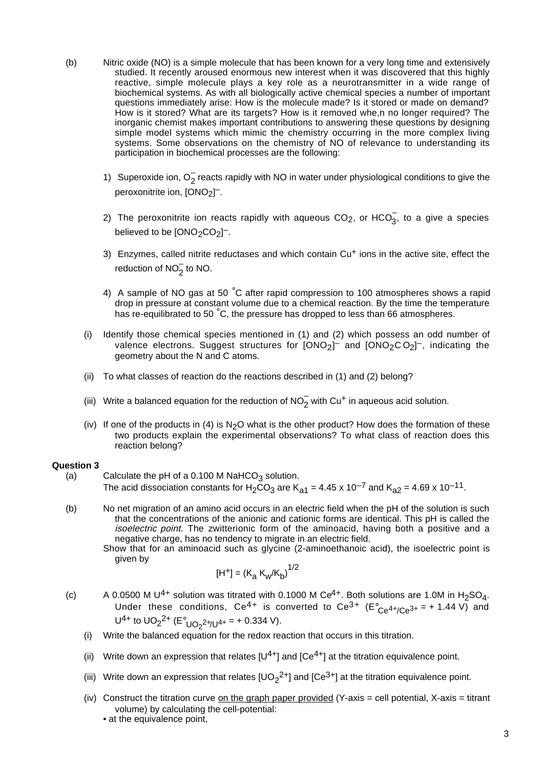- (b) Nitric oxide (NO) is a simple molecule that has been known for a very long time and extensively studied. It recently aroused enormous new interest when it was discovered that this highly reactive, simple molecule plays a key role as a neurotransmitter in a wide range of biochemical systems. As with all biologically active chemical species a number of important questions immediately arise: How is the molecule made? Is it stored or made on demand? How is it stored? What are its targets? How is it removed whe,n no longer required? The inorganic chemist makes important contributions to answering these questions by designing simple model systems which mimic the chemistry occurring in the more complex living systems. Some observations on the chemistry of NO of relevance to understanding its participation in biochemical processes are the following:
	- 1) Superoxide ion,  $O_2^-$  reacts rapidly with NO in water under physiological conditions to give the peroxonitrite ion, [ONO<sub>2</sub>]<sup>--</sup>.
	- 2) The peroxonitrite ion reacts rapidly with aqueous CO<sub>2</sub>, or HCO<sub>3</sub>, to a give a species believed to be  $[0NO<sub>2</sub>CO<sub>2</sub>]$ <sup>-</sup>.
	- 3) Enzymes, called nitrite reductases and which contain Cu<sup>+</sup> ions in the active site, effect the reduction of  $NO_2^-$  to NO.
	- 4) A sample of NO gas at 50  $^{\circ}$ C after rapid compression to 100 atmospheres shows a rapid drop in pressure at constant volume due to a chemical reaction. By the time the temperature has re-equilibrated to 50 °C, the pressure has dropped to less than 66 atmospheres.
	- (i) Identify those chemical species mentioned in (1) and (2) which possess an odd number of valence electrons. Suggest structures for  $[ONO<sub>2</sub>]<sup>-</sup>$  and  $[ONO<sub>2</sub>CO<sub>2</sub>]<sup>-</sup>$ , indicating the geometry about the N and C atoms.
	- (ii) To what classes of reaction do the reactions described in (1) and (2) belong?
	- (iii) Write a balanced equation for the reduction of NO<sub>2</sub> with Cu<sup>+</sup> in aqueous acid solution.
	- (iv) If one of the products in (4) is  $N<sub>2</sub>O$  what is the other product? How does the formation of these two products explain the experimental observations? To what class of reaction does this reaction belong?

#### **Question 3**

- (a) Calculate the pH of a 0.100 M NaHCO<sub>3</sub> solution. The acid dissociation constants for H<sub>2</sub>CO<sub>3</sub> are K<sub>a1</sub> = 4.45 x 10<sup>-7</sup> and K<sub>a2</sub> = 4.69 x 10<sup>-11</sup>.
- (b) No net migration of an amino acid occurs in an electric field when the pH of the solution is such that the concentrations of the anionic and cationic forms are identical. This pH is called the isoelectric point. The zwitterionic form of the aminoacid, having both a positive and a negative charge, has no tendency to migrate in an electric field.
	- Show that for an aminoacid such as glycine (2-aminoethanoic acid), the isoelectric point is given by

$$
[H^+] = (K_a K_w / K_b)^{1/2}
$$

- (c) A 0.0500 M U<sup>4+</sup> solution was titrated with 0.1000 M Ce<sup>4+</sup>. Both solutions are 1.0M in H<sub>2</sub>SO<sub>4</sub>. Under these conditions, Ce<sup>4+</sup> is converted to Ce<sup>3+</sup> (E $^{\circ}$ <sub>Ce</sub>4+<sub>/Ce</sub>3+ = + 1.44 V) and U<sup>4+</sup> to UO<sub>2</sub><sup>2+</sup> (E<sup>o</sup><sub>UO<sub>2</sub><sup>2+</sup>/U<sup>4+</sup> = + 0.334 V).</sub>
	- (i) Write the balanced equation for the redox reaction that occurs in this titration.
	- (ii) Write down an expression that relates  $[U^{4+}]$  and  $[Ce^{4+}]$  at the titration equivalence point.
	- (iii) Write down an expression that relates  $[UD_2^{2+}]$  and  $[Ce^{3+}]$  at the titration equivalence point.
	- (iv) Construct the titration curve on the graph paper provided  $(Y-axis =$  cell potential,  $X-axis =$  titrant volume) by calculating the cell-potential:
		- at the equivalence point.